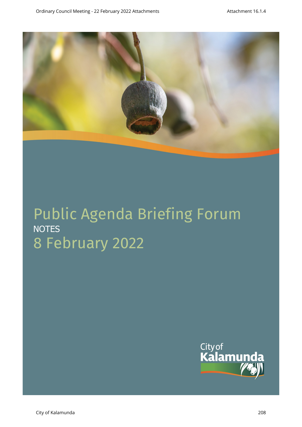

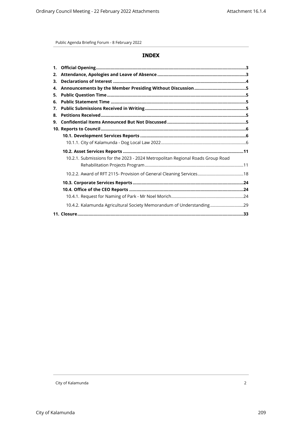# **INDEX**

| 2. |                                                                                |  |
|----|--------------------------------------------------------------------------------|--|
| 3. |                                                                                |  |
| 4. |                                                                                |  |
| 5. |                                                                                |  |
| 6. |                                                                                |  |
| 7. |                                                                                |  |
| 8. |                                                                                |  |
| 9. |                                                                                |  |
|    |                                                                                |  |
|    |                                                                                |  |
|    |                                                                                |  |
|    |                                                                                |  |
|    | 10.2.1. Submissions for the 2023 - 2024 Metropolitan Regional Roads Group Road |  |
|    |                                                                                |  |
|    |                                                                                |  |
|    |                                                                                |  |
|    |                                                                                |  |
|    |                                                                                |  |
|    | 10.4.2. Kalamunda Agricultural Society Memorandum of Understanding29           |  |
|    |                                                                                |  |
|    |                                                                                |  |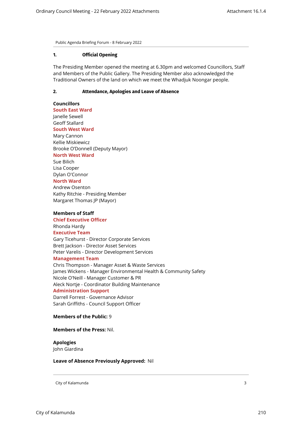#### <span id="page-2-0"></span>**1. Official Opening**

<span id="page-2-1"></span>The Presiding Member opened the meeting at 6.30pm and welcomed Councillors, Staff and Members of the Public Gallery. The Presiding Member also acknowledged the Traditional Owners of the land on which we meet the Whadjuk Noongar people.

# **2. Attendance, Apologies and Leave of Absence**

**Councillors South East Ward**  Janelle Sewell Geoff Stallard **South West Ward** Mary Cannon Kellie Miskiewicz Brooke O'Donnell (Deputy Mayor)

## **North West Ward**

Sue Bilich Lisa Cooper Dylan O'Connor **North Ward**

Andrew Osenton Kathy Ritchie - Presiding Member Margaret Thomas JP (Mayor)

#### **Members of Staff**

**Chief Executive Officer** Rhonda Hardy **Executive Team** Gary Ticehurst - Director Corporate Services Brett Jackson - Director Asset Services Peter Varelis - Director Development Services **Management Team** Chris Thompson - Manager Asset & Waste Services James Wickens - Manager Environmental Health & Community Safety Nicole O'Neill - Manager Customer & PR Aleck Nortje - Coordinator Building Maintenance **Administration Support** Darrell Forrest - Governance Advisor Sarah Griffiths - Council Support Officer

#### **Members of the Public:** 9

#### **Members of the Press:** Nil.

**Apologies**  John Giardina

#### **Leave of Absence Previously Approved:** Nil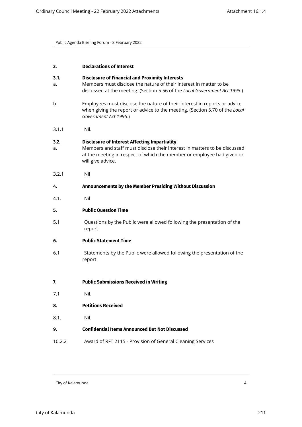<span id="page-3-6"></span><span id="page-3-5"></span><span id="page-3-4"></span><span id="page-3-3"></span><span id="page-3-2"></span><span id="page-3-1"></span><span id="page-3-0"></span>

| 3.         | <b>Declarations of Interest</b>                                                                                                                                                                                                  |
|------------|----------------------------------------------------------------------------------------------------------------------------------------------------------------------------------------------------------------------------------|
| 3.1.<br>a. | <b>Disclosure of Financial and Proximity Interests</b><br>Members must disclose the nature of their interest in matter to be<br>discussed at the meeting. (Section 5.56 of the Local Government Act 1995.)                       |
| b.         | Employees must disclose the nature of their interest in reports or advice<br>when giving the report or advice to the meeting. (Section 5.70 of the Local<br>Government Act 1995.)                                                |
| 3.1.1      | Nil.                                                                                                                                                                                                                             |
| 3.2.<br>a. | <b>Disclosure of Interest Affecting Impartiality</b><br>Members and staff must disclose their interest in matters to be discussed<br>at the meeting in respect of which the member or employee had given or<br>will give advice. |
| 3.2.1      | Nil                                                                                                                                                                                                                              |
| 4.         | Announcements by the Member Presiding Without Discussion                                                                                                                                                                         |
| 4.1.       | Nil                                                                                                                                                                                                                              |
| 5.         | <b>Public Question Time</b>                                                                                                                                                                                                      |
| 5.1        | Questions by the Public were allowed following the presentation of the<br>report                                                                                                                                                 |
| 6.         | <b>Public Statement Time</b>                                                                                                                                                                                                     |
| 6.1        | Statements by the Public were allowed following the presentation of the<br>report                                                                                                                                                |
| 7.         | <b>Public Submissions Received in Writing</b>                                                                                                                                                                                    |
| 7.1        | Nil.                                                                                                                                                                                                                             |
| 8.         | <b>Petitions Received</b>                                                                                                                                                                                                        |
| 8.1.       | Nil.                                                                                                                                                                                                                             |
| 9.         | <b>Confidential Items Announced But Not Discussed</b>                                                                                                                                                                            |
| 10.2.2     | Award of RFT 2115 - Provision of General Cleaning Services                                                                                                                                                                       |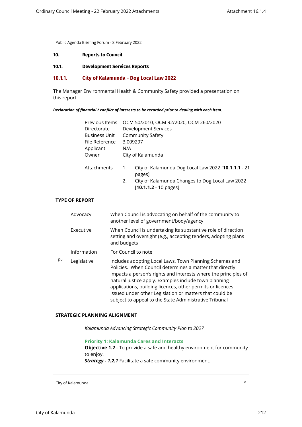<span id="page-4-2"></span><span id="page-4-1"></span><span id="page-4-0"></span>

| 10. | <b>Reports to Council</b> |
|-----|---------------------------|
|-----|---------------------------|

**10.1. Development Services Reports**

#### **10.1.1. City of Kalamunda - Dog Local Law 2022**

The Manager Environmental Health & Community Safety provided a presentation on this report

#### *Declaration of financial / conflict of interests to be recorded prior to dealing with each item.*

|                  | Previous Items<br>Directorate<br><b>Business Unit</b><br>File Reference<br>Applicant<br>Owner | 3.009297<br>N/A | OCM 50/2010, OCM 92/2020, OCM 260/2020<br><b>Development Services</b><br><b>Community Safety</b><br>City of Kalamunda                                       |
|------------------|-----------------------------------------------------------------------------------------------|-----------------|-------------------------------------------------------------------------------------------------------------------------------------------------------------|
|                  | Attachments                                                                                   | 1.<br>2.        | City of Kalamunda Dog Local Law 2022 [ <b>10.1.1.1</b> - 21<br>pages]<br>City of Kalamunda Changes to Dog Local Law 2022<br>$[10.1.1.2 - 10 \text{ pages}]$ |
| <b>PF REPORT</b> |                                                                                               |                 |                                                                                                                                                             |
| Advocacy         |                                                                                               |                 | When Council is advocating on behalf of the community to<br>another level of government/body/agency                                                         |
| Executive        |                                                                                               | and budgets     | When Council is undertaking its substantive role of direction<br>setting and oversight (e.g., accepting tenders, adopting plans                             |

- Information For Council to note
- $\overline{P}$  Legislative Includes adopting Local Laws, Town Planning Schemes and Policies. When Council determines a matter that directly impacts a person's rights and interests where the principles of natural justice apply. Examples include town planning applications, building licences, other permits or licences issued under other Legislation or matters that could be subject to appeal to the State Administrative Tribunal

# **STRATEGIC PLANNING ALIGNMENT**

*Kalamunda Advancing Strategic Community Plan to 2027*

**Priority 1: Kalamunda Cares and Interacts**

**Objective 1.2** - To provide a safe and healthy environment for community to enjoy.

*Strategy - 1.2.1* Facilitate a safe community environment.

City of Kalamunda 5

**TYPE OF**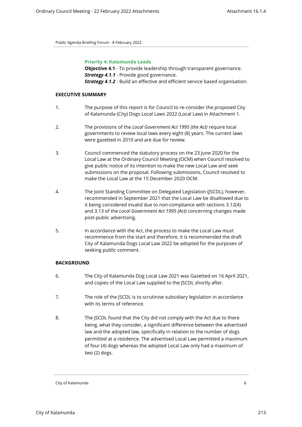#### **Priority 4: Kalamunda Leads**

**Objective 4.1** - To provide leadership through transparent governance. *Strategy 4.1.1* - Provide good governance. **Strategy 4.1.2** - Build an effective and efficient service based organisation.

#### **EXECUTIVE SUMMARY**

- 1. The purpose of this report is for Council to re-consider the proposed City of Kalamunda (City) Dogs Local Laws 2022 (Local Law) in Attachment 1.
- 2. The provisions of the *Local Government Act 1995 (the Act)* require local governments to review local laws every eight (8) years. The current laws were gazetted in 2010 and are due for review.
- 3. Council commenced the statutory process on the 23 June 2020 for the Local Law at the Ordinary Council Meeting (OCM) when Council resolved to give public notice of its intention to make the new Local Law and seek submissions on the proposal. Following submissions, Council resolved to make the Local Law at the 15 December 2020 OCM.
- 4. The Joint Standing Committee on Delegated Legislation (JSCDL), however, recommended in September 2021 that the Local Law be disallowed due to it being considered invalid due to non-compliance with sections 3.12(4) and 3.13 of the *Local Government Act 1995 (Act)* concerning changes made post-public advertising.
- 5. In accordance with the Act, the process to make the Local Law must recommence from the start and therefore, it is recommended the draft City of Kalamunda Dogs Local Law 2022 be adopted for the purposes of seeking public comment.

#### **BACKGROUND**

- 6. The City of Kalamunda Dog Local Law 2021 was Gazetted on 16 April 2021, and copies of the Local Law supplied to the JSCDL shortly after.
- 7. The role of the JSCDL is to scrutinise subsidiary legislation in accordance with its terms of reference.
- 8. The JSCDL found that the City did not comply with the Act due to there being, what they consider, a significant difference between the advertised law and the adopted law, specifically in relation to the number of dogs permitted at a residence. The advertised Local Law permitted a maximum of four (4) dogs whereas the adopted Local Law only had a maximum of two (2) dogs.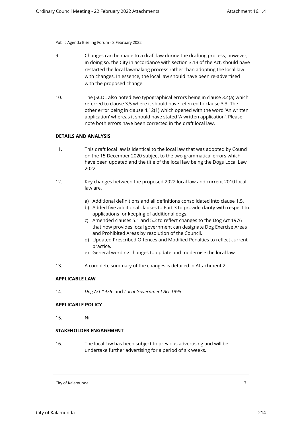- 9. Changes can be made to a draft law during the drafting process, however, in doing so, the City in accordance with section 3.13 of the Act, should have restarted the local lawmaking process rather than adopting the local law with changes. In essence, the local law should have been re-advertised with the proposed change.
- 10. The JSCDL also noted two typographical errors being in clause 3.4(a) which referred to clause 3.5 where it should have referred to clause 3.3. The other error being in clause 4.12(1) which opened with the word 'An written application' whereas it should have stated 'A written application'. Please note both errors have been corrected in the draft local law.

#### **DETAILS AND ANALYSIS**

- 11. This draft local law is identical to the local law that was adopted by Council on the 15 December 2020 subject to the two grammatical errors which have been updated and the title of the local law being the Dogs Local Law 2022.
- 12. Key changes between the proposed 2022 local law and current 2010 local law are.
	- a) Additional definitions and all definitions consolidated into clause 1.5.
	- b) Added five additional clauses to Part 3 to provide clarity with respect to applications for keeping of additional dogs.
	- c) Amended clauses 5.1 and 5.2 to reflect changes to the Dog Act 1976 that now provides local government can designate Dog Exercise Areas and Prohibited Areas by resolution of the Council.
	- d) Updated Prescribed Offences and Modified Penalties to reflect current practice.
	- e) General wording changes to update and modernise the local law.
- 13. A complete summary of the changes is detailed in Attachment 2.

#### **APPLICABLE LAW**

14. *Dog Act 1976* and *Local Government Act 1995* 

#### **APPLICABLE POLICY**

15. Nil

# **STAKEHOLDER ENGAGEMENT**

16. The local law has been subject to previous advertising and will be undertake further advertising for a period of six weeks.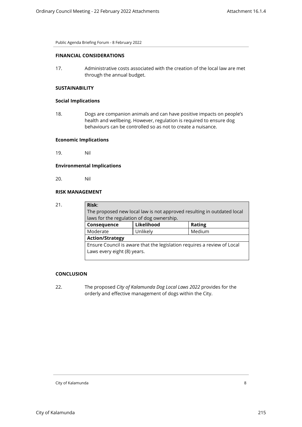#### **FINANCIAL CONSIDERATIONS**

17. Administrative costs associated with the creation of the local law are met through the annual budget.

# **SUSTAINABILITY**

#### **Social Implications**

18. Dogs are companion animals and can have positive impacts on people's health and wellbeing. However, regulation is required to ensure dog behaviours can be controlled so as not to create a nuisance.

# **Economic Implications**

19. Nil

# **Environmental Implications**

20. Nil

# **RISK MANAGEMENT**

21. **Risk**:

| Risk:                                                                   |            |               |  |
|-------------------------------------------------------------------------|------------|---------------|--|
| The proposed new local law is not approved resulting in outdated local  |            |               |  |
| laws for the regulation of dog ownership.                               |            |               |  |
| Consequence                                                             | Likelihood | <b>Rating</b> |  |
| Moderate                                                                | Unlikely   | Medium        |  |
| <b>Action/Strategy</b>                                                  |            |               |  |
| Ensure Council is aware that the legislation requires a review of Local |            |               |  |
| Laws every eight (8) years.                                             |            |               |  |
|                                                                         |            |               |  |

# **CONCLUSION**

22. The proposed *City of Kalamunda Dog Local Laws 2022* provides for the orderly and effective management of dogs within the City.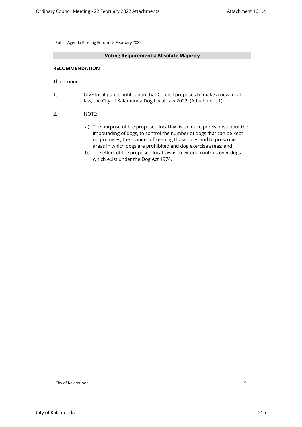#### **Voting Requirements: Absolute Majority**

#### **RECOMMENDATION**

That Council:

- 1. GIVE local public notification that Council proposes to make a new local law, the City of Kalamunda Dog Local Law 2022. (Attachment 1).
- 2. NOTE:
	- a) The purpose of the proposed local law is to make provisions about the impounding of dogs, to control the number of dogs that can be kept on premises, the manner of keeping those dogs and to prescribe areas in which dogs are prohibited and dog exercise areas; and
	- b) The effect of the proposed local law is to extend controls over dogs which exist under the Dog Act 1976.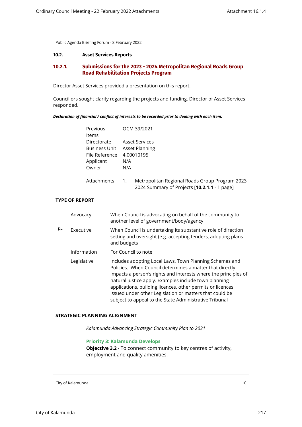#### <span id="page-9-1"></span><span id="page-9-0"></span>**10.2. Asset Services Reports**

# **10.2.1. Submissions for the 2023 - 2024 Metropolitan Regional Roads Group Road Rehabilitation Projects Program**

Director Asset Services provided a presentation on this report.

Councillors sought clarity regarding the projects and funding, Director of Asset Services responded.

#### *Declaration of financial / conflict of interests to be recorded prior to dealing with each item.*

| Previous             | OCM 39/2021 |                                                                                                        |  |  |
|----------------------|-------------|--------------------------------------------------------------------------------------------------------|--|--|
| Items                |             |                                                                                                        |  |  |
| Directorate          |             | Asset Services                                                                                         |  |  |
| <b>Business Unit</b> |             | Asset Planning                                                                                         |  |  |
| File Reference       | 4.00010195  |                                                                                                        |  |  |
| Applicant            | N/A         |                                                                                                        |  |  |
| Owner                | N/A         |                                                                                                        |  |  |
| Attachments          | 1.          | Metropolitan Regional Roads Group Program 2023<br>2024 Summary of Projects [ <b>10.2.1.1</b> - 1 page] |  |  |

# **TYPE OF REPORT**

|   | Advocacy    | When Council is advocating on behalf of the community to<br>another level of government/body/agency                                                                                                                                                                                                                                                                                                                                |
|---|-------------|------------------------------------------------------------------------------------------------------------------------------------------------------------------------------------------------------------------------------------------------------------------------------------------------------------------------------------------------------------------------------------------------------------------------------------|
| 他 | Executive   | When Council is undertaking its substantive role of direction<br>setting and oversight (e.g. accepting tenders, adopting plans<br>and budgets                                                                                                                                                                                                                                                                                      |
|   | Information | For Council to note                                                                                                                                                                                                                                                                                                                                                                                                                |
|   | Legislative | Includes adopting Local Laws, Town Planning Schemes and<br>Policies. When Council determines a matter that directly<br>impacts a person's rights and interests where the principles of<br>natural justice apply. Examples include town planning<br>applications, building licences, other permits or licences<br>issued under other Legislation or matters that could be<br>subject to appeal to the State Administrative Tribunal |

#### **STRATEGIC PLANNING ALIGNMENT**

*Kalamunda Advancing Strategic Community Plan to 2031*

# **Priority 3: Kalamunda Develops**

**Objective 3.2** - To connect community to key centres of activity, employment and quality amenities.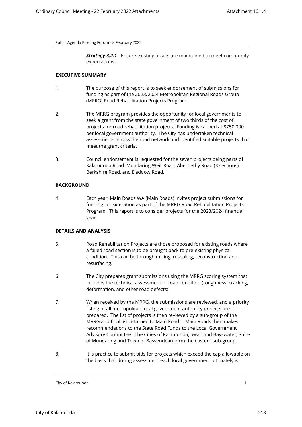**Strategy 3.2.1** - Ensure existing assets are maintained to meet community expectations.

#### **EXECUTIVE SUMMARY**

- 1. The purpose of this report is to seek endorsement of submissions for funding as part of the 2023/2024 Metropolitan Regional Roads Group (MRRG) Road Rehabilitation Projects Program.
- 2. The MRRG program provides the opportunity for local governments to seek a grant from the state government of two thirds of the cost of projects for road rehabilitation projects. Funding is capped at \$750,000 per local government authority. The City has undertaken technical assessments across the road network and identified suitable projects that meet the grant criteria.
- 3. Council endorsement is requested for the seven projects being parts of Kalamunda Road, Mundaring Weir Road, Abernethy Road (3 sections), Berkshire Road, and Daddow Road.

# **BACKGROUND**

4. Each year, Main Roads WA (Main Roads) invites project submissions for funding consideration as part of the MRRG Road Rehabilitation Projects Program. This report is to consider projects for the 2023/2024 financial year.

# **DETAILS AND ANALYSIS**

- 5. Road Rehabilitation Projects are those proposed for existing roads where a failed road section is to be brought back to pre-existing physical condition. This can be through milling, resealing, reconstruction and resurfacing.
- 6. The City prepares grant submissions using the MRRG scoring system that includes the technical assessment of road condition (roughness, cracking, deformation, and other road defects).
- 7. When received by the MRRG, the submissions are reviewed, and a priority listing of all metropolitan local government authority projects are prepared. The list of projects is then reviewed by a sub-group of the MRRG and final list returned to Main Roads. Main Roads then makes recommendations to the State Road Funds to the Local Government Advisory Committee. The Cities of Kalamunda, Swan and Bayswater, Shire of Mundaring and Town of Bassendean form the eastern sub-group.
- 8. It is practice to submit bids for projects which exceed the cap allowable on the basis that during assessment each local government ultimately is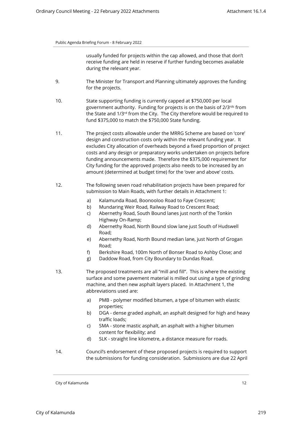usually funded for projects within the cap allowed, and those that don't receive funding are held in reserve if further funding becomes available during the relevant year.

- 9. The Minister for Transport and Planning ultimately approves the funding for the projects.
- 10. State supporting funding is currently capped at \$750,000 per local government authority. Funding for projects is on the basis of 2/3rds from the State and 1/3<sup>rd</sup> from the City. The City therefore would be required to fund \$375,000 to match the \$750,000 State funding.
- 11. The project costs allowable under the MRRG Scheme are based on 'core' design and construction costs only within the relevant funding year. It excludes City allocation of overheads beyond a fixed proportion of project costs and any design or preparatory works undertaken on projects before funding announcements made. Therefore the \$375,000 requirement for City funding for the approved projects also needs to be increased by an amount (determined at budget time) for the 'over and above' costs.
- 12. The following seven road rehabilitation projects have been prepared for submission to Main Roads, with further details in Attachment 1:
	- a) Kalamunda Road, Boonooloo Road to Faye Crescent;
	- b) Mundaring Weir Road, Railway Road to Crescent Road;
	- c) Abernethy Road, South Bound lanes just north of the Tonkin Highway On-Ramp;
	- d) Abernethy Road, North Bound slow lane just South of Hudswell Road;
	- e) Abernethy Road, North Bound median lane, just North of Grogan Road;
	- f) Berkshire Road, 100m North of Bonser Road to Ashby Close; and
	- g) Daddow Road, from City Boundary to Dundas Road.
- 13. The proposed treatments are all "mill and fill". This is where the existing surface and some pavement material is milled out using a type of grinding machine, and then new asphalt layers placed. In Attachment 1, the abbreviations used are:
	- a) PMB polymer modified bitumen, a type of bitumen with elastic properties;
	- b) DGA dense graded asphalt, an asphalt designed for high and heavy traffic loads;
	- c) SMA stone mastic asphalt, an asphalt with a higher bitumen content for flexibility; and
	- d) SLK straight line kilometre, a distance measure for roads.
- 14. Council's endorsement of these proposed projects is required to support the submissions for funding consideration. Submissions are due 22 April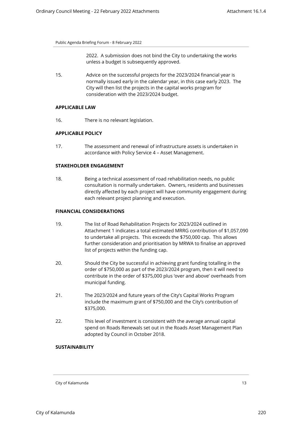2022. A submission does not bind the City to undertaking the works unless a budget is subsequently approved.

15. Advice on the successful projects for the 2023/2024 financial year is normally issued early in the calendar year, in this case early 2023. The City will then list the projects in the capital works program for consideration with the 2023/2024 budget.

# **APPLICABLE LAW**

16. There is no relevant legislation.

#### **APPLICABLE POLICY**

17. The assessment and renewal of infrastructure assets is undertaken in accordance with Policy Service 4 – Asset Management.

# **STAKEHOLDER ENGAGEMENT**

18. Being a technical assessment of road rehabilitation needs, no public consultation is normally undertaken. Owners, residents and businesses directly affected by each project will have community engagement during each relevant project planning and execution.

# **FINANCIAL CONSIDERATIONS**

- 19. The list of Road Rehabilitation Projects for 2023/2024 outlined in Attachment 1 indicates a total estimated MRRG contribution of \$1,057,090 to undertake all projects. This exceeds the \$750,000 cap. This allows further consideration and prioritisation by MRWA to finalise an approved list of projects within the funding cap.
- 20. Should the City be successful in achieving grant funding totalling in the order of \$750,000 as part of the 2023/2024 program, then it will need to contribute in the order of \$375,000 plus 'over and above' overheads from municipal funding.
- 21. The 2023/2024 and future years of the City's Capital Works Program include the maximum grant of \$750,000 and the City's contribution of \$375,000.
- 22. This level of investment is consistent with the average annual capital spend on Roads Renewals set out in the Roads Asset Management Plan adopted by Council in October 2018.

#### **SUSTAINABILITY**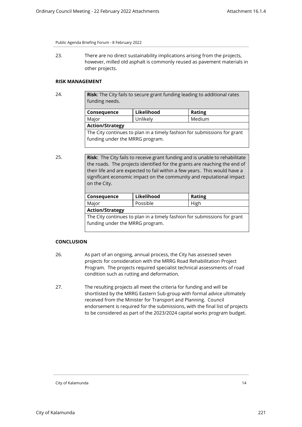23. There are no direct sustainability implications arising from the projects, however, milled old asphalt is commonly reused as pavement materials in other projects.

# **RISK MANAGEMENT**

24. **Risk**: The City fails to secure grant funding leading to additional rates funding needs.

| Likelihood                                                               | <b>Rating</b> |  |  |
|--------------------------------------------------------------------------|---------------|--|--|
| Unlikely                                                                 | Medium        |  |  |
| <b>Action/Strategy</b>                                                   |               |  |  |
| The City continues to plan in a timely fashion for submissions for grant |               |  |  |
| funding under the MRRG program.                                          |               |  |  |
|                                                                          |               |  |  |

25. **Risk**: The City fails to receive grant funding and is unable to rehabilitate the roads. The projects identified for the grants are reaching the end of their life and are expected to fail within a few years. This would have a significant economic impact on the community and reputational impact on the City.

| Conseguence            | Likelihood | <b>Rating</b> |  |
|------------------------|------------|---------------|--|
| Major                  | Possible   | High          |  |
| <b>Action/Strategy</b> |            |               |  |

The City continues to plan in a timely fashion for submissions for grant funding under the MRRG program.

# **CONCLUSION**

- 26. As part of an ongoing, annual process, the City has assessed seven projects for consideration with the MRRG Road Rehabilitation Project Program. The projects required specialist technical assessments of road condition such as rutting and deformation.
- 27. The resulting projects all meet the criteria for funding and will be shortlisted by the MRRG Eastern Sub-group with formal advice ultimately received from the Minister for Transport and Planning. Council endorsement is required for the submissions, with the final list of projects to be considered as part of the 2023/2024 capital works program budget.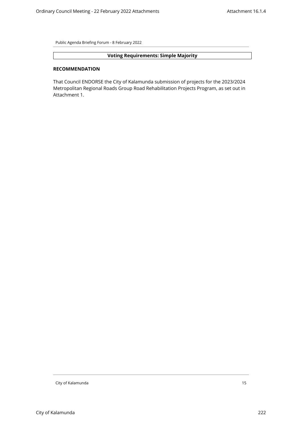# **Voting Requirements: Simple Majority**

# **RECOMMENDATION**

That Council ENDORSE the City of Kalamunda submission of projects for the 2023/2024 Metropolitan Regional Roads Group Road Rehabilitation Projects Program, as set out in Attachment 1.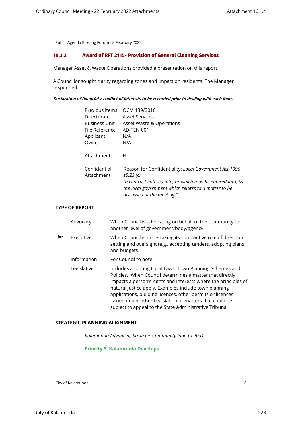# <span id="page-15-0"></span>**10.2.2. Award of RFT 2115- Provision of General Cleaning Services**

Manager Asset & Waste Operations provided a presentation on this report.

A Councillor sought clarity regarding zones and impact on residents. The Manager responded.

*Declaration of financial / conflict of interests to be recorded prior to dealing with each item.*

| Previous Items             | OCM 139/2016                                                                                                                                     |
|----------------------------|--------------------------------------------------------------------------------------------------------------------------------------------------|
| Directorate                | <b>Asset Services</b>                                                                                                                            |
| <b>Business Unit</b>       | Asset Waste & Operations                                                                                                                         |
| File Reference             | AD-TEN-001                                                                                                                                       |
| Applicant                  | N/A                                                                                                                                              |
| Owner                      | N/A                                                                                                                                              |
| Attachments                | Nil                                                                                                                                              |
| Confidential<br>Attachment | Reason for Confidentiality: Local Government Act 1995<br>s5.23(c)                                                                                |
|                            | "a contract entered into, or which may be entered into, by<br>the local government which relates to a matter to be<br>discussed at the meeting." |

# **TYPE OF REPORT**

|   | Advocacy    | When Council is advocating on behalf of the community to<br>another level of government/body/agency                                                                                                                                                                                                                                                                                                                                |
|---|-------------|------------------------------------------------------------------------------------------------------------------------------------------------------------------------------------------------------------------------------------------------------------------------------------------------------------------------------------------------------------------------------------------------------------------------------------|
| Ρ | Executive   | When Council is undertaking its substantive role of direction<br>setting and oversight (e.g., accepting tenders, adopting plans<br>and budgets                                                                                                                                                                                                                                                                                     |
|   | Information | For Council to note                                                                                                                                                                                                                                                                                                                                                                                                                |
|   | Legislative | Includes adopting Local Laws, Town Planning Schemes and<br>Policies. When Council determines a matter that directly<br>impacts a person's rights and interests where the principles of<br>natural justice apply. Examples include town planning<br>applications, building licences, other permits or licences<br>issued under other Legislation or matters that could be<br>subject to appeal to the State Administrative Tribunal |

## **STRATEGIC PLANNING ALIGNMENT**

*Kalamunda Advancing Strategic Community Plan to 2031*

# **Priority 3: Kalamunda Develops**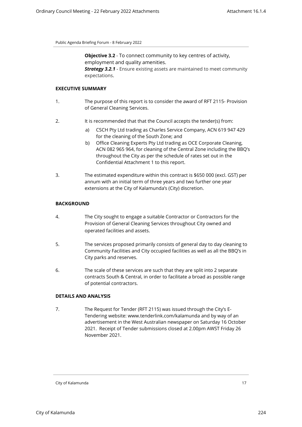expectations.

**Objective 3.2** - To connect community to key centres of activity, employment and quality amenities. **Strategy 3.2.1** - Ensure existing assets are maintained to meet community

**EXECUTIVE SUMMARY**

- 1. The purpose of this report is to consider the award of RFT 2115- Provision of General Cleaning Services.
- 2. It is recommended that that the Council accepts the tender(s) from:
	- a) CSCH Pty Ltd trading as Charles Service Company, ACN 619 947 429 for the cleaning of the South Zone; and
	- b) Office Cleaning Experts Pty Ltd trading as OCE Corporate Cleaning, ACN 082 965 964, for cleaning of the Central Zone including the BBQ's throughout the City as per the schedule of rates set out in the Confidential Attachment 1 to this report.
- 3. The estimated expenditure within this contract is \$650 000 (excl. GST) per annum with an initial term of three years and two further one year extensions at the City of Kalamunda's (City) discretion.

# **BACKGROUND**

- 4. The City sought to engage a suitable Contractor or Contractors for the Provision of General Cleaning Services throughout City owned and operated facilities and assets.
- 5. The services proposed primarily consists of general day to day cleaning to Community Facilities and City occupied facilities as well as all the BBQ's in City parks and reserves.
- 6. The scale of these services are such that they are split into 2 separate contracts South & Central, in order to facilitate a broad as possible range of potential contractors.

# **DETAILS AND ANALYSIS**

7. The Request for Tender (RFT 2115) was issued through the City's E-Tendering website: www.tenderlink.com/kalamunda and by way of an advertisement in the West Australian newspaper on Saturday 16 October 2021. Receipt of Tender submissions closed at 2.00pm AWST Friday 26 November 2021.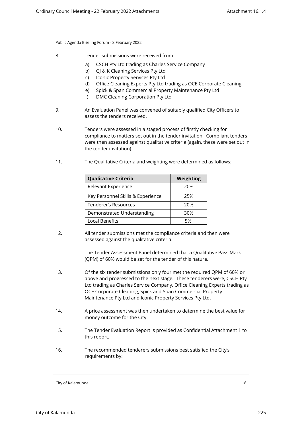- 8. Tender submissions were received from:
	- a) CSCH Pty Ltd trading as Charles Service Company
	- b) GJ & K Cleaning Services Pty Ltd
	- c) Iconic Property Services Pty Ltd
	- d) Office Cleaning Experts Pty Ltd trading as OCE Corporate Cleaning
	- e) Spick & Span Commercial Property Maintenance Pty Ltd
	- f) DMC Cleaning Corporation Pty Ltd
- 9. An Evaluation Panel was convened of suitably qualified City Officers to assess the tenders received.
- 10. Tenders were assessed in a staged process of firstly checking for compliance to matters set out in the tender invitation. Compliant tenders were then assessed against qualitative criteria (again, these were set out in the tender invitation).
- 11. The Qualitative Criteria and weighting were determined as follows:

| <b>Qualitative Criteria</b>       | Weighting |
|-----------------------------------|-----------|
| Relevant Experience               | 20%       |
| Key Personnel Skills & Experience | 25%       |
| Tenderer's Resources              | 20%       |
| Demonstrated Understanding        | 30%       |
| Local Benefits                    | 5%        |

12. All tender submissions met the compliance criteria and then were assessed against the qualitative criteria.

> The Tender Assessment Panel determined that a Qualitative Pass Mark (QPM) of 60% would be set for the tender of this nature.

- 13. Of the six tender submissions only four met the required QPM of 60% or above and progressed to the next stage. These tenderers were, CSCH Pty Ltd trading as Charles Service Company, Office Cleaning Experts trading as OCE Corporate Cleaning, Spick and Span Commercial Property Maintenance Pty Ltd and Iconic Property Services Pty Ltd.
- 14. A price assessment was then undertaken to determine the best value for money outcome for the City.
- 15. The Tender Evaluation Report is provided as Confidential Attachment 1 to this report.
- 16. The recommended tenderers submissions best satisfied the City's requirements by: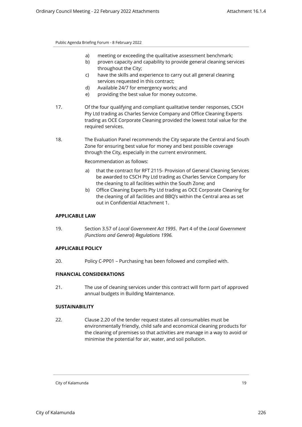- a) meeting or exceeding the qualitative assessment benchmark;
- b) proven capacity and capability to provide general cleaning services throughout the City;
- c) have the skills and experience to carry out all general cleaning services requested in this contract;
- d) Available 24/7 for emergency works; and
- e) providing the best value for money outcome.
- 17. Of the four qualifying and compliant qualitative tender responses, CSCH Pty Ltd trading as Charles Service Company and Office Cleaning Experts trading as OCE Corporate Cleaning provided the lowest total value for the required services.
- 18. The Evaluation Panel recommends the City separate the Central and South Zone for ensuring best value for money and best possible coverage through the City, especially in the current environment.

Recommendation as follows:

- a) that the contract for RFT 2115- Provision of General Cleaning Services be awarded to CSCH Pty Ltd trading as Charles Service Company for the cleaning to all facilities within the South Zone; and
- b) Office Cleaning Experts Pty Ltd trading as OCE Corporate Cleaning for the cleaning of all facilities and BBQ's within the Central area as set out in Confidential Attachment 1.

#### **APPLICABLE LAW**

19. Section 3.57 of *Local Government Act 1995*. Part 4 of the *Local Government (Functions and General) Regulations 1996.*

# **APPLICABLE POLICY**

20. Policy C-PP01 – Purchasing has been followed and complied with.

# **FINANCIAL CONSIDERATIONS**

21. The use of cleaning services under this contract will form part of approved annual budgets in Building Maintenance.

#### **SUSTAINABILITY**

22. Clause 2.20 of the tender request states all consumables must be environmentally friendly, child safe and economical cleaning products for the cleaning of premises so that activities are manage in a way to avoid or minimise the potential for air, water, and soil pollution.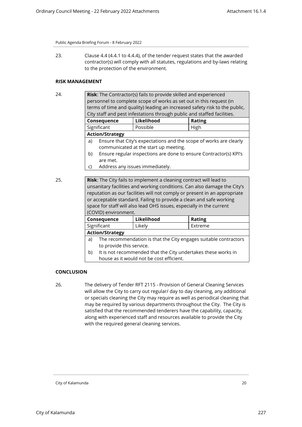23. Clause 4.4 (4.4.1 to 4.4.4), of the tender request states that the awarded contractor(s) will comply with all statutes, regulations and by-laws relating to the protection of the environment.

# **RISK MANAGEMENT**

| 24. | Risk: The Contractor(s) fails to provide skilled and experienced          |                                                                         |                                                                            |  |  |  |
|-----|---------------------------------------------------------------------------|-------------------------------------------------------------------------|----------------------------------------------------------------------------|--|--|--|
|     | personnel to complete scope of works as set out in this request (in       |                                                                         |                                                                            |  |  |  |
|     |                                                                           |                                                                         | terms of time and quality) leading an increased safety risk to the public, |  |  |  |
|     |                                                                           | City staff and pest infestations through public and staffed facilities. |                                                                            |  |  |  |
|     | Consequence                                                               | Likelihood                                                              | <b>Rating</b>                                                              |  |  |  |
|     | Significant                                                               | Possible                                                                | High                                                                       |  |  |  |
|     | <b>Action/Strategy</b>                                                    |                                                                         |                                                                            |  |  |  |
|     | a)                                                                        | Ensure that City's expectations and the scope of works are clearly      |                                                                            |  |  |  |
|     |                                                                           | communicated at the start up meeting.                                   |                                                                            |  |  |  |
|     | b)                                                                        | Ensure regular inspections are done to ensure Contractor(s) KPI's       |                                                                            |  |  |  |
|     | are met.                                                                  |                                                                         |                                                                            |  |  |  |
|     | Address any issues immediately.<br>C)                                     |                                                                         |                                                                            |  |  |  |
|     |                                                                           |                                                                         |                                                                            |  |  |  |
| 25. | <b>Risk:</b> The City fails to implement a cleaning contract will lead to |                                                                         |                                                                            |  |  |  |
|     | unsanitary facilities and working conditions. Can also damage the City's  |                                                                         |                                                                            |  |  |  |
|     | reputation as our facilities will not comply or present in an appropriate |                                                                         |                                                                            |  |  |  |
|     | or acceptable standard. Failing to provide a clean and safe working       |                                                                         |                                                                            |  |  |  |
|     | space for staff will also lead OHS issues, especially in the current      |                                                                         |                                                                            |  |  |  |
|     | (COVID) environment.                                                      |                                                                         |                                                                            |  |  |  |
|     | Consequence                                                               | Likelihood                                                              | <b>Rating</b>                                                              |  |  |  |
|     | Significant                                                               | Likely                                                                  | Extreme                                                                    |  |  |  |
|     | <b>Action/Strategy</b>                                                    |                                                                         |                                                                            |  |  |  |
|     | The recommendation is that the City engages suitable contractors<br>a)    |                                                                         |                                                                            |  |  |  |
|     | to provide this service.                                                  |                                                                         |                                                                            |  |  |  |
|     | It is not recommended that the City undertakes these works in<br>b)       |                                                                         |                                                                            |  |  |  |
|     | house as it would not be cost efficient.                                  |                                                                         |                                                                            |  |  |  |

#### **CONCLUSION**

26. The delivery of Tender RFT 2115 - Provision of General Cleaning Services will allow the City to carry out regular/ day to day cleaning, any additional or specials cleaning the City may require as well as periodical cleaning that may be required by various departments throughout the City. The City is satisfied that the recommended tenderers have the capability, capacity, along with experienced staff and resources available to provide the City with the required general cleaning services.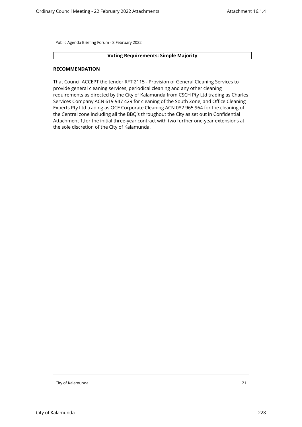#### **Voting Requirements: Simple Majority**

#### **RECOMMENDATION**

That Council ACCEPT the tender RFT 2115 - Provision of General Cleaning Services to provide general cleaning services, periodical cleaning and any other cleaning requirements as directed by the City of Kalamunda from CSCH Pty Ltd trading as Charles Services Company ACN 619 947 429 for cleaning of the South Zone, and Office Cleaning Experts Pty Ltd trading as OCE Corporate Cleaning ACN 082 965 964 for the cleaning of the Central zone including all the BBQ's throughout the City as set out in Confidential Attachment 1,for the initial three-year contract with two further one-year extensions at the sole discretion of the City of Kalamunda.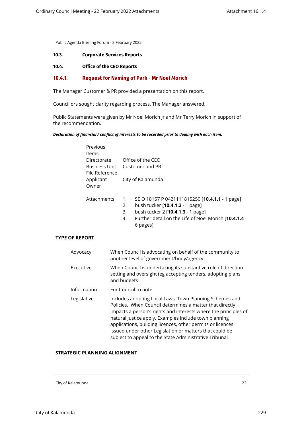#### <span id="page-21-2"></span><span id="page-21-1"></span><span id="page-21-0"></span>**10.3. Corporate Services Reports**

# **10.4. Office of the CEO Reports**

# **10.4.1. Request for Naming of Park - Mr Noel Morich**

The Manager Customer & PR provided a presentation on this report.

Councillors sought clarity regarding process. The Manager answered.

Public Statements were given by Mr Noel Morich Jr and Mr Terry Morich in support of the recommendation.

#### *Declaration of financial / conflict of interests to be recorded prior to dealing with each item.*

| Previous<br>Items                       |                   |                                                |
|-----------------------------------------|-------------------|------------------------------------------------|
| Directorate                             |                   | Office of the CFO                              |
| Customer and PR<br><b>Business Unit</b> |                   |                                                |
| File Reference                          |                   |                                                |
| Applicant                               | City of Kalamunda |                                                |
| Owner                                   |                   |                                                |
| Attachments                             | 1.                | SE O 18157 P 0421111815250 [10.4.1.1 - 1 page] |
|                                         | 2.                | bush tucker [10.4.1.2 - 1 page]                |
|                                         | 3.                | bush tucker 2 [10.4.1.3 - 1 page]              |
|                                         |                   |                                                |

4. Further detail on the Life of Noel Morich [**10.4.1.4** - 6 pages]

# **TYPE OF REPORT**

| Advocacy    | When Council is advocating on behalf of the community to<br>another level of government/body/agency                                                                                                                                                                                                                                                                                                                                |
|-------------|------------------------------------------------------------------------------------------------------------------------------------------------------------------------------------------------------------------------------------------------------------------------------------------------------------------------------------------------------------------------------------------------------------------------------------|
| Executive   | When Council is undertaking its substantive role of direction<br>setting and oversight (eg accepting tenders, adopting plans<br>and budgets                                                                                                                                                                                                                                                                                        |
| Information | For Council to note                                                                                                                                                                                                                                                                                                                                                                                                                |
| Legislative | Includes adopting Local Laws, Town Planning Schemes and<br>Policies. When Council determines a matter that directly<br>impacts a person's rights and interests where the principles of<br>natural justice apply. Examples include town planning<br>applications, building licences, other permits or licences<br>issued under other Legislation or matters that could be<br>subject to appeal to the State Administrative Tribunal |

## **STRATEGIC PLANNING ALIGNMENT**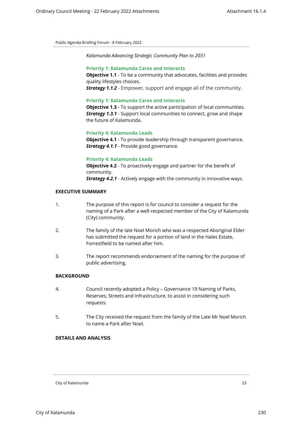*Kalamunda Advancing Strategic Community Plan to 2031*

#### **Priority 1: Kalamunda Cares and Interacts**

**Objective 1.1** - To be a community that advocates, facilities and provides quality lifestyles choices.

*Strategy 1.1.2* - Empower, support and engage all of the community.

#### **Priority 1: Kalamunda Cares and Interacts**

**Objective 1.3** - To support the active participation of local communities. *Strategy 1.3.1* - Support local communities to connect, grow and shape the future of Kalamunda.

#### **Priority 4: Kalamunda Leads**

**Objective 4.1** - To provide leadership through transparent governance. *Strategy 4.1.1* - Provide good governance.

#### **Priority 4: Kalamunda Leads**

**Objective 4.2** - To proactively engage and partner for the benefit of community. *Strategy 4.2.1* - Actively engage with the community in innovative ways.

# **EXECUTIVE SUMMARY**

- 1. The purpose of this report is for council to consider a request for the naming of a Park after a well-respected member of the City of Kalamunda (City) community.
- 2. The family of the late Noel Morich who was a respected Aboriginal Elder has submitted the request for a portion of land in the Hales Estate, Forrestfield to be named after him.
- 3. The report recommends endorsement of the naming for the purpose of public advertising.

# **BACKGROUND**

- 4. Council recently adopted a Policy Governance 19 Naming of Parks, Reserves, Streets and Infrastructure, to assist in considering such requests.
- 5. The City received the request from the family of the Late Mr Noel Morich to name a Park after Noel.

# **DETAILS AND ANALYSIS**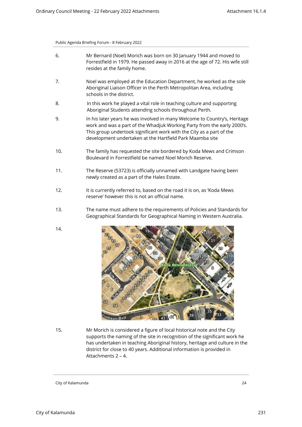- 6. Mr Bernard (Noel) Morich was born on 30 January 1944 and moved to Forrestfield in 1979. He passed away in 2016 at the age of 72. His wife still resides at the family home.
- 7. Noel was employed at the Education Department, he worked as the sole Aboriginal Liaison Officer in the Perth Metropolitan Area, including schools in the district.
- 8. In this work he played a vital role in teaching culture and supporting Aboriginal Students attending schools throughout Perth.
- 9. In his later years he was involved in many Welcome to Country's, Heritage work and was a part of the Whadjuk Working Party from the early 2000's. This group undertook significant work with the City as a part of the development undertaken at the Hartfield Park Maamba site
- 10. The family has requested the site bordered by Koda Mews and Crimson Boulevard in Forrestfield be named Noel Morich Reserve.
- 11. The Reserve (53723) is officially unnamed with Landgate having been newly created as a part of the Hales Estate.
- 12. It is currently referred to, based on the road it is on, as 'Koda Mews reserve' however this is not an official name.
- 13. The name must adhere to the requirements of Policies and Standards for Geographical Standards for Geographical Naming in Western Australia.
- 14.



15. Mr Morich is considered a figure of local historical note and the City supports the naming of the site in recognition of the significant work he has undertaken in teaching Aboriginal history, heritage and culture in the district for close to 40 years. Additional information is provided in Attachments 2 – 4.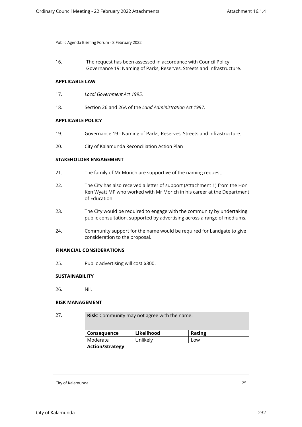16. The request has been assessed in accordance with Council Policy Governance 19: Naming of Parks, Reserves, Streets and Infrastructure.

# **APPLICABLE LAW**

- 17. *Local Government Act 1995.*
- 18. Section 26 and 26A of the *Land Administration Act 1997*.

## **APPLICABLE POLICY**

- 19. Governance 19 Naming of Parks, Reserves, Streets and Infrastructure.
- 20. City of Kalamunda Reconciliation Action Plan

## **STAKEHOLDER ENGAGEMENT**

- 21. The family of Mr Morich are supportive of the naming request.
- 22. The City has also received a letter of support (Attachment 1) from the Hon Ken Wyatt MP who worked with Mr Morich in his career at the Department of Education.
- 23. The City would be required to engage with the community by undertaking public consultation, supported by advertising across a range of mediums.
- 24. Community support for the name would be required for Landgate to give consideration to the proposal.

#### **FINANCIAL CONSIDERATIONS**

25. Public advertising will cost \$300.

#### **SUSTAINABILITY**

26. Nil.

#### **RISK MANAGEMENT**

```
27. Risk: Community may not agree with the name.
```

| <b>Consequence</b> | Likelihood | <b>Rating</b> |
|--------------------|------------|---------------|
| Moderate           | Unlikely   | Low           |

City of Kalamunda 25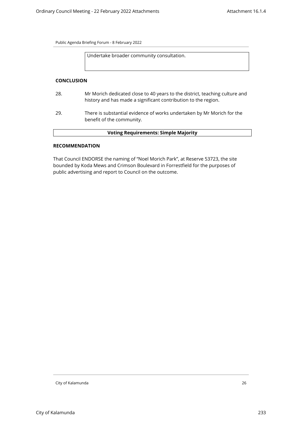Undertake broader community consultation.

#### **CONCLUSION**

- 28. Mr Morich dedicated close to 40 years to the district, teaching culture and history and has made a significant contribution to the region.
- 29. There is substantial evidence of works undertaken by Mr Morich for the benefit of the community.

# **Voting Requirements: Simple Majority**

#### **RECOMMENDATION**

That Council ENDORSE the naming of "Noel Morich Park", at Reserve 53723, the site bounded by Koda Mews and Crimson Boulevard in Forrestfield for the purposes of public advertising and report to Council on the outcome.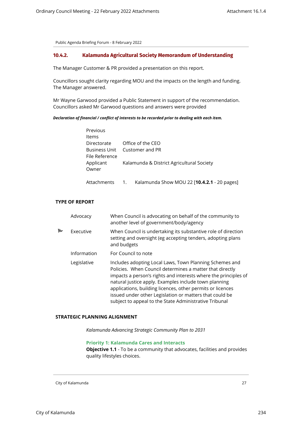# <span id="page-26-0"></span>**10.4.2. Kalamunda Agricultural Society Memorandum of Understanding**

The Manager Customer & PR provided a presentation on this report.

Councillors sought clarity regarding MOU and the impacts on the length and funding. The Manager answered.

Mr Wayne Garwood provided a Public Statement in support of the recommendation. Councillors asked Mr Garwood questions and answers were provided

#### *Declaration of financial / conflict of interests to be recorded prior to dealing with each item.*

| Previous       |    |                                             |
|----------------|----|---------------------------------------------|
| Items          |    |                                             |
| Directorate    |    | Office of the CEO                           |
| Business Unit  |    | Customer and PR                             |
| File Reference |    |                                             |
| Applicant      |    | Kalamunda & District Agricultural Society   |
| Owner          |    |                                             |
|                |    |                                             |
| Attachments    | 1. | Kalamunda Show MOU 22 [10.4.2.1 - 20 pages] |

## **TYPE OF REPORT**

|   | Advocacy    | When Council is advocating on behalf of the community to<br>another level of government/body/agency                                                                                                                                                                                                                                                                                                                                |
|---|-------------|------------------------------------------------------------------------------------------------------------------------------------------------------------------------------------------------------------------------------------------------------------------------------------------------------------------------------------------------------------------------------------------------------------------------------------|
| ь | Executive   | When Council is undertaking its substantive role of direction<br>setting and oversight (eg accepting tenders, adopting plans<br>and budgets                                                                                                                                                                                                                                                                                        |
|   | Information | For Council to note                                                                                                                                                                                                                                                                                                                                                                                                                |
|   | Legislative | Includes adopting Local Laws, Town Planning Schemes and<br>Policies. When Council determines a matter that directly<br>impacts a person's rights and interests where the principles of<br>natural justice apply. Examples include town planning<br>applications, building licences, other permits or licences<br>issued under other Legislation or matters that could be<br>subject to appeal to the State Administrative Tribunal |

#### **STRATEGIC PLANNING ALIGNMENT**

*Kalamunda Advancing Strategic Community Plan to 2031*

#### **Priority 1: Kalamunda Cares and Interacts**

**Objective 1.1** - To be a community that advocates, facilities and provides quality lifestyles choices.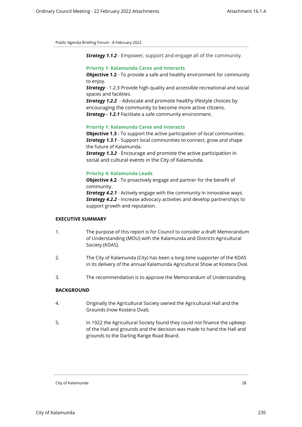*Strategy 1.1.2* - Empower, support and engage all of the community.

# **Priority 1: Kalamunda Cares and Interacts**

**Objective 1.2** - To provide a safe and healthy environment for community to enjoy.

**Strategy** - 1.2.3 Provide high quality and accessible recreational and social spaces and facilities.

*Strategy 1.2.2* - Advocate and promote healthy lifestyle choices by encouraging the community to become more active citizens. *Strategy - 1.2.1* Facilitate a safe community environment.

#### **Priority 1: Kalamunda Cares and Interacts**

**Objective 1.3** - To support the active participation of local communities. *Strategy 1.3.1* - Support local communities to connect, grow and shape the future of Kalamunda.

*Strategy 1.3.2* - Encourage and promote the active participation in social and cultural events in the City of Kalamunda.

# **Priority 4: Kalamunda Leads**

**Objective 4.2** - To proactively engage and partner for the benefit of community.

*Strategy 4.2.1* - Actively engage with the community in innovative ways. *Strategy 4.2.2* - Increase advocacy activities and develop partnerships to support growth and reputation.

# **EXECUTIVE SUMMARY**

- 1. The purpose of this report is for Council to consider a draft Memorandum of Understanding (MOU) with the Kalamunda and Districts Agricultural Society (KDAS).
- 2. The City of Kalamunda (City) has been a long-time supporter of the KDAS in its delivery of the annual Kalamunda Agricultural Show at Kostera Oval.
- 3. The recommendation is to approve the Memorandum of Understanding.

#### **BACKGROUND**

- 4. Originally the Agricultural Society owned the Agricultural Hall and the Grounds (now Kostera Oval).
- 5. In 1922 the Agricultural Society found they could not finance the upkeep of the Hall and grounds and the decision was made to hand the Hall and grounds to the Darling Range Road Board.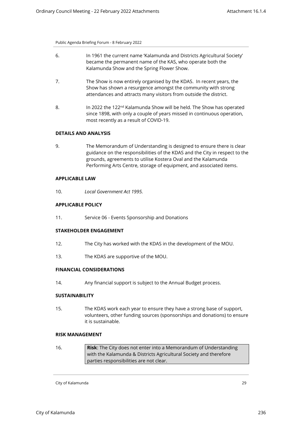- 6. In 1961 the current name 'Kalamunda and Districts Agricultural Society' became the permanent name of the KAS, who operate both the Kalamunda Show and the Spring Flower Show.
- 7. The Show is now entirely organised by the KDAS. In recent years, the Show has shown a resurgence amongst the community with strong attendances and attracts many visitors from outside the district.
- 8. In 2022 the 122<sup>nd</sup> Kalamunda Show will be held. The Show has operated since 1898, with only a couple of years missed in continuous operation, most recently as a result of COVID-19.

# **DETAILS AND ANALYSIS**

9. The Memorandum of Understanding is designed to ensure there is clear guidance on the responsibilities of the KDAS and the City in respect to the grounds, agreements to utilise Kostera Oval and the Kalamunda Performing Arts Centre, storage of equipment, and associated items.

#### **APPLICABLE LAW**

10. *Local Government Act 1995.* 

#### **APPLICABLE POLICY**

11. Service 06 - Events Sponsorship and Donations

#### **STAKEHOLDER ENGAGEMENT**

- 12. The City has worked with the KDAS in the development of the MOU.
- 13. The KDAS are supportive of the MOU.

# **FINANCIAL CONSIDERATIONS**

14. Any financial support is subject to the Annual Budget process.

#### **SUSTAINABILITY**

15. The KDAS work each year to ensure they have a strong base of support, volunteers, other funding sources (sponsorships and donations) to ensure it is sustainable.

#### **RISK MANAGEMENT**

16. **Risk**: The City does not enter into a Memorandum of Understanding with the Kalamunda & Districts Agricultural Society and therefore parties responsibilities are not clear.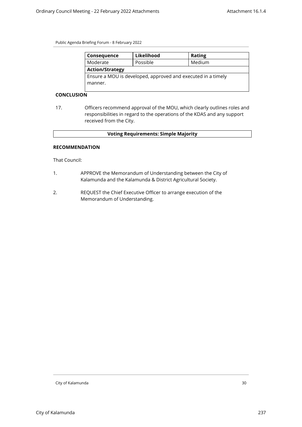| Consequence                                                  | Likelihood | <b>Rating</b> |  |
|--------------------------------------------------------------|------------|---------------|--|
| Moderate                                                     | Possible   | Medium        |  |
| <b>Action/Strategy</b>                                       |            |               |  |
| Ensure a MOU is developed, approved and executed in a timely |            |               |  |
| manner.                                                      |            |               |  |
|                                                              |            |               |  |

# **CONCLUSION**

17. Officers recommend approval of the MOU, which clearly outlines roles and responsibilities in regard to the operations of the KDAS and any support received from the City.

# **Voting Requirements: Simple Majority**

## **RECOMMENDATION**

That Council:

- 1. APPROVE the Memorandum of Understanding between the City of Kalamunda and the Kalamunda & District Agricultural Society.
- 2. REQUEST the Chief Executive Officer to arrange execution of the Memorandum of Understanding.